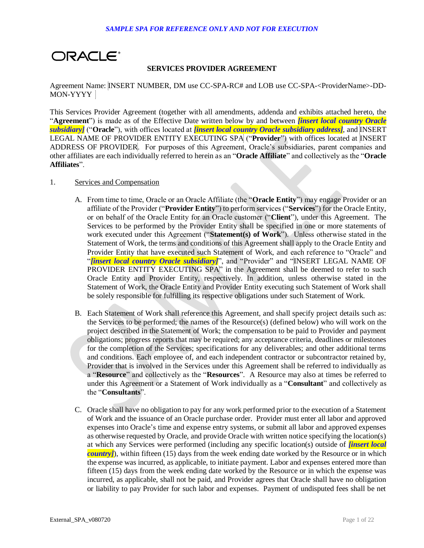

# **SERVICES PROVIDER AGREEMENT**

 Agreement Name: INSERT NUMBER, DM use CC-SPA-RC# and LOB use CC-SPA-<ProviderName>-DD-MON-YYYY

 This Services Provider Agreement (together with all amendments, addenda and exhibits attached hereto, the "**Agreement**") is made as of the Effective Date written below by and between *[insert local country Oracle subsidiary]* ("**Oracle**"), with offices located at *[insert local country Oracle subsidiary address]*, and INSERT LEGAL NAME OF PROVIDER ENTITY EXECUTING SPA ("**Provider**") with offices located at INSERT ADDRESS OF PROVIDER. For purposes of this Agreement, Oracle's subsidiaries, parent companies and other affiliates are each individually referred to herein as an "**Oracle Affiliate**" and collectively as the "**Oracle Affiliates**".

## 1. Services and Compensation

- A. From time to time, Oracle or an Oracle Affiliate (the "**Oracle Entity**") may engage Provider or an affiliate of the Provider ("**Provider Entity**") to perform services ("**Services**") for the Oracle Entity, or on behalf of the Oracle Entity for an Oracle customer ("Client"), under this Agreement. The Services to be performed by the Provider Entity shall be specified in one or more statements of work executed under this Agreement ("**Statement(s) of Work**"). Unless otherwise stated in the Statement of Work, the terms and conditions of this Agreement shall apply to the Oracle Entity and Provider Entity that have executed such Statement of Work, and each reference to "Oracle" and "*[insert local country Oracle subsidiary]*", and "Provider" and "*[NSERT LEGAL NAME OF* PROVIDER ENTITY EXECUTING SPA<sup>"</sup> in the Agreement shall be deemed to refer to such Oracle Entity and Provider Entity, respectively. In addition, unless otherwise stated in the Statement of Work, the Oracle Entity and Provider Entity executing such Statement of Work shall be solely responsible for fulfilling its respective obligations under such Statement of Work.
- B. Each Statement of Work shall reference this Agreement, and shall specify project details such as: the Services to be performed; the names of the Resource(s) (defined below) who will work on the project described in the Statement of Work; the compensation to be paid to Provider and payment obligations; progress reports that may be required; any acceptance criteria, deadlines or milestones for the completion of the Services; specifications for any deliverables; and other additional terms and conditions. Each employee of, and each independent contractor or subcontractor retained by, Provider that is involved in the Services under this Agreement shall be referred to individually as a "Resource" and collectively as the "Resources". A Resource may also at times be referred to under this Agreement or a Statement of Work individually as a "**Consultant**" and collectively as the "**Consultants**".
- C. Oracle shall have no obligation to pay for any work performed prior to the execution of a Statement of Work and the issuance of an Oracle purchase order. Provider must enter all labor and approved expenses into Oracle's time and expense entry systems, or submit all labor and approved expenses as otherwise requested by Oracle, and provide Oracle with written notice specifying the location(s) at which any Services were performed (including any specific location(s) outside of *[insert local country]*), within fifteen (15) days from the week ending date worked by the Resource or in which the expense was incurred, as applicable, to initiate payment. Labor and expenses entered more than fifteen (15) days from the week ending date worked by the Resource or in which the expense was incurred, as applicable, shall not be paid, and Provider agrees that Oracle shall have no obligation or liability to pay Provider for such labor and expenses. Payment of undisputed fees shall be net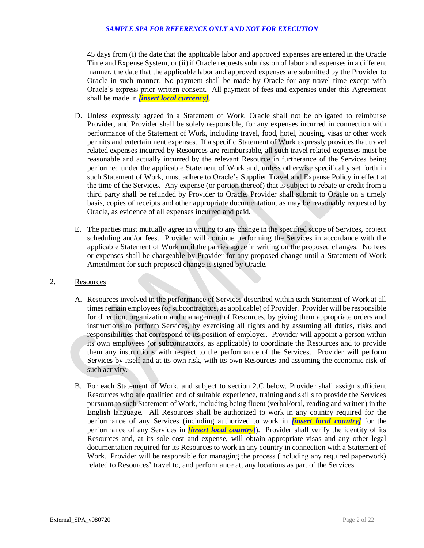45 days from (i) the date that the applicable labor and approved expenses are entered in the Oracle Time and Expense System, or (ii) if Oracle requests submission of labor and expenses in a different manner, the date that the applicable labor and approved expenses are submitted by the Provider to Oracle in such manner. No payment shall be made by Oracle for any travel time except with Oracle's express prior written consent. All payment of fees and expenses under this Agreement shall be made in *[insert local currency]*.

- D. Unless expressly agreed in a Statement of Work, Oracle shall not be obligated to reimburse Provider, and Provider shall be solely responsible, for any expenses incurred in connection with performance of the Statement of Work, including travel, food, hotel, housing, visas or other work permits and entertainment expenses. If a specific Statement of Work expressly provides that travel related expenses incurred by Resources are reimbursable, all such travel related expenses must be reasonable and actually incurred by the relevant Resource in furtherance of the Services being performed under the applicable Statement of Work and, unless otherwise specifically set forth in such Statement of Work, must adhere to Oracle's Supplier Travel and Expense Policy in effect at the time of the Services. Any expense (or portion thereof) that is subject to rebate or credit from a third party shall be refunded by Provider to Oracle. Provider shall submit to Oracle on a timely basis, copies of receipts and other appropriate documentation, as may be reasonably requested by Oracle, as evidence of all expenses incurred and paid.
- E. The parties must mutually agree in writing to any change in the specified scope of Services, project scheduling and/or fees. Provider will continue performing the Services in accordance with the applicable Statement of Work until the parties agree in writing on the proposed changes. No fees or expenses shall be chargeable by Provider for any proposed change until a Statement of Work Amendment for such proposed change is signed by Oracle.

## 2. Resources

- A. Resources involved in the performance of Services described within each Statement of Work at all times remain employees (or subcontractors, as applicable) of Provider. Provider will be responsible for direction, organization and management of Resources, by giving them appropriate orders and instructions to perform Services, by exercising all rights and by assuming all duties, risks and responsibilities that correspond to its position of employer. Provider will appoint a person within its own employees (or subcontractors, as applicable) to coordinate the Resources and to provide them any instructions with respect to the performance of the Services. Provider will perform Services by itself and at its own risk, with its own Resources and assuming the economic risk of such activity.
- B. For each Statement of Work, and subject to section 2.C below, Provider shall assign sufficient Resources who are qualified and of suitable experience, training and skills to provide the Services pursuant to such Statement of Work, including being fluent (verbal/oral, reading and written) in the English language. All Resources shall be authorized to work in any country required for the performance of any Services (including authorized to work in *[insert local country]* for the performance of any Services in *[insert local country]*). Provider shall verify the identity of its Resources and, at its sole cost and expense, will obtain appropriate visas and any other legal documentation required for its Resources to work in any country in connection with a Statement of Work. Provider will be responsible for managing the process (including any required paperwork) related to Resources' travel to, and performance at, any locations as part of the Services.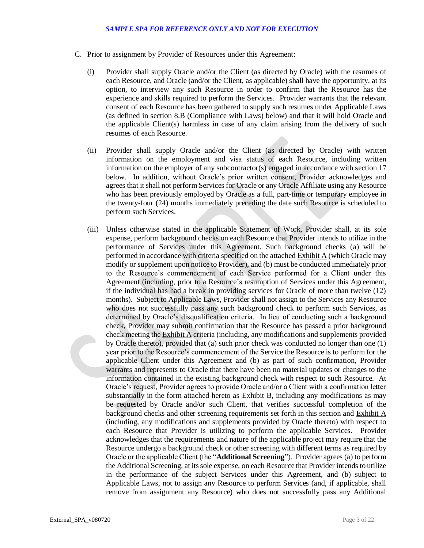- C. Prior to assignment by Provider of Resources under this Agreement:
	- (i) Provider shall supply Oracle and/or the Client (as directed by Oracle) with the resumes of each Resource, and Oracle (and/or the Client, as applicable) shall have the opportunity, at its option, to interview any such Resource in order to confirm that the Resource has the experience and skills required to perform the Services. Provider warrants that the relevant consent of each Resource has been gathered to supply such resumes under Applicable Laws (as defined in section 8.B (Compliance with Laws) below) and that it will hold Oracle and the applicable Client(s) harmless in case of any claim arising from the delivery of such resumes of each Resource.
	- (ii) Provider shall supply Oracle and/or the Client (as directed by Oracle) with written information on the employment and visa status of each Resource, including written information on the employer of any subcontractor(s) engaged in accordance with section 17 below. In addition, without Oracle's prior written consent, Provider acknowledges and agrees that it shall not perform Services for Oracle or any Oracle Affiliate using any Resource who has been previously employed by Oracle as a full, part-time or temporary employee in the twenty-four (24) months immediately preceding the date such Resource is scheduled to perform such Services.
	- (iii) Unless otherwise stated in the applicable Statement of Work, Provider shall, at its sole expense, perform background checks on each Resource that Provider intends to utilize in the performance of Services under this Agreement. Such background checks (a) will be performed in accordance with criteria specified on the attached **Exhibit A** (which Oracle may modify or supplement upon notice to Provider), and (b) must be conducted immediately prior to the Resource's commencement of each Service performed for a Client under this Agreement (including, prior to a Resource's resumption of Services under this Agreement, if the individual has had a break in providing services for Oracle of more than twelve (12) months). Subject to Applicable Laws, Provider shall not assign to the Services any Resource who does not successfully pass any such background check to perform such Services, as determined by Oracle's disqualification criteria. In lieu of conducting such a background check, Provider may submit confirmation that the Resource has passed a prior background check meeting the **Exhibit A** criteria (including, any modifications and supplements provided by Oracle thereto), provided that (a) such prior check was conducted no longer than one (1) year prior to the Resource's commencement of the Service the Resource is to perform for the applicable Client under this Agreement and (b) as part of such confirmation, Provider warrants and represents to Oracle that there have been no material updates or changes to the information contained in the existing background check with respect to such Resource. At Oracle's request, Provider agrees to provide Oracle and/or a Client with a confirmation letter substantially in the form attached hereto as  $Exhibit B$ , including any modifications as may be requested by Oracle and/or such Client, that verifies successful completion of the background checks and other screening requirements set forth in this section and Exhibit A (including, any modifications and supplements provided by Oracle thereto) with respect to each Resource that Provider is utilizing to perform the applicable Services. Provider acknowledges that the requirements and nature of the applicable project may require that the Resource undergo a background check or other screening with different terms as required by Oracle or the applicable Client (the "**Additional Screening**"). Provider agrees (a) to perform the Additional Screening, at its sole expense, on each Resource that Provider intends to utilize in the performance of the subject Services under this Agreement, and (b) subject to Applicable Laws, not to assign any Resource to perform Services (and, if applicable, shall remove from assignment any Resource) who does not successfully pass any Additional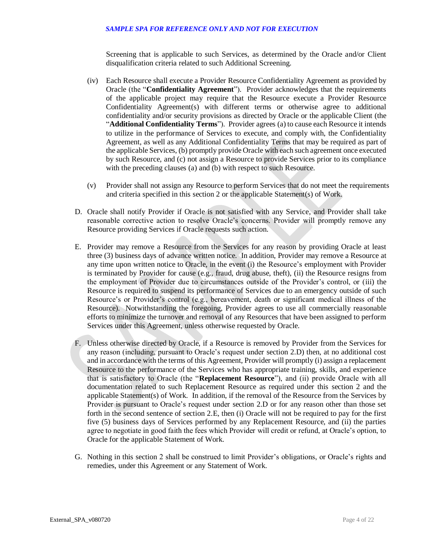Screening that is applicable to such Services, as determined by the Oracle and/or Client disqualification criteria related to such Additional Screening.

- (iv) Each Resource shall execute a Provider Resource Confidentiality Agreement as provided by Oracle (the "**Confidentiality Agreement**"). Provider acknowledges that the requirements of the applicable project may require that the Resource execute a Provider Resource Confidentiality Agreement(s) with different terms or otherwise agree to additional confidentiality and/or security provisions as directed by Oracle or the applicable Client (the "**Additional Confidentiality Terms**"). Provider agrees (a) to cause each Resource it intends to utilize in the performance of Services to execute, and comply with, the Confidentiality Agreement, as well as any Additional Confidentiality Terms that may be required as part of the applicable Services, (b) promptly provide Oracle with each such agreement once executed by such Resource, and (c) not assign a Resource to provide Services prior to its compliance with the preceding clauses (a) and (b) with respect to such Resource.
- (v) Provider shall not assign any Resource to perform Services that do not meet the requirements and criteria specified in this section 2 or the applicable Statement(s) of Work.
- D. Oracle shall notify Provider if Oracle is not satisfied with any Service, and Provider shall take reasonable corrective action to resolve Oracle's concerns. Provider will promptly remove any Resource providing Services if Oracle requests such action.
- E. Provider may remove a Resource from the Services for any reason by providing Oracle at least three (3) business days of advance written notice. In addition, Provider may remove a Resource at any time upon written notice to Oracle, in the event (i) the Resource's employment with Provider is terminated by Provider for cause (e.g., fraud, drug abuse, theft), (ii) the Resource resigns from the employment of Provider due to circumstances outside of the Provider's control, or (iii) the Resource is required to suspend its performance of Services due to an emergency outside of such Resource's or Provider's control (e.g., bereavement, death or significant medical illness of the Resource). Notwithstanding the foregoing, Provider agrees to use all commercially reasonable efforts to minimize the turnover and removal of any Resources that have been assigned to perform Services under this Agreement, unless otherwise requested by Oracle.
- F. Unless otherwise directed by Oracle, if a Resource is removed by Provider from the Services for any reason (including, pursuant to Oracle's request under section 2.D) then, at no additional cost and in accordance with the terms of this Agreement, Provider will promptly (i) assign a replacement Resource to the performance of the Services who has appropriate training, skills, and experience that is satisfactory to Oracle (the "**Replacement Resource**"), and (ii) provide Oracle with all documentation related to such Replacement Resource as required under this section 2 and the applicable Statement(s) of Work. In addition, if the removal of the Resource from the Services by Provider is pursuant to Oracle's request under section 2.D or for any reason other than those set forth in the second sentence of section 2.E, then (i) Oracle will not be required to pay for the first five (5) business days of Services performed by any Replacement Resource, and (ii) the parties agree to negotiate in good faith the fees which Provider will credit or refund, at Oracle's option, to Oracle for the applicable Statement of Work.
- G. Nothing in this section 2 shall be construed to limit Provider's obligations, or Oracle's rights and remedies, under this Agreement or any Statement of Work.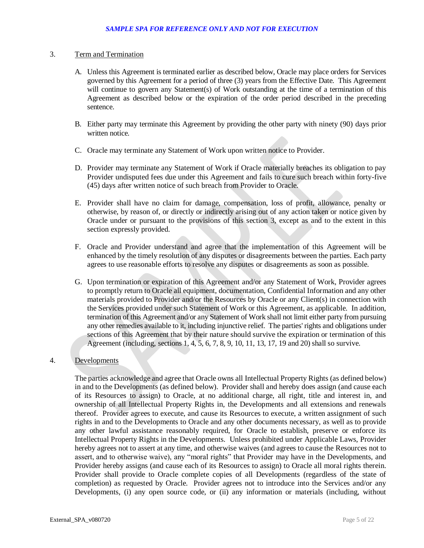## 3. Term and Termination

- A. Unless this Agreement is terminated earlier as described below, Oracle may place orders for Services governed by this Agreement for a period of three (3) years from the Effective Date. This Agreement will continue to govern any Statement(s) of Work outstanding at the time of a termination of this Agreement as described below or the expiration of the order period described in the preceding sentence.
- B. Either party may terminate this Agreement by providing the other party with ninety (90) days prior written notice.
- C. Oracle may terminate any Statement of Work upon written notice to Provider.
- D. Provider may terminate any Statement of Work if Oracle materially breaches its obligation to pay Provider undisputed fees due under this Agreement and fails to cure such breach within forty-five (45) days after written notice of such breach from Provider to Oracle.
- E. Provider shall have no claim for damage, compensation, loss of profit, allowance, penalty or otherwise, by reason of, or directly or indirectly arising out of any action taken or notice given by Oracle under or pursuant to the provisions of this section 3, except as and to the extent in this section expressly provided.
- F. Oracle and Provider understand and agree that the implementation of this Agreement will be enhanced by the timely resolution of any disputes or disagreements between the parties. Each party agrees to use reasonable efforts to resolve any disputes or disagreements as soon as possible.
- G. Upon termination or expiration of this Agreement and/or any Statement of Work, Provider agrees to promptly return to Oracle all equipment, documentation, Confidential Information and any other materials provided to Provider and/or the Resources by Oracle or any Client(s) in connection with the Services provided under such Statement of Work or this Agreement, as applicable. In addition, termination of this Agreement and/or any Statement of Work shall not limit either party from pursuing any other remedies available to it, including injunctive relief. The parties' rights and obligations under sections of this Agreement that by their nature should survive the expiration or termination of this Agreement (including, sections 1, 4, 5, 6, 7, 8, 9, 10, 11, 13, 17, 19 and 20) shall so survive.

## 4. Developments

 The parties acknowledge and agree that Oracle owns all Intellectual Property Rights (as defined below) in and to the Developments (as defined below). Provider shall and hereby does assign (and cause each of its Resources to assign) to Oracle, at no additional charge, all right, title and interest in, and ownership of all Intellectual Property Rights in, the Developments and all extensions and renewals thereof. Provider agrees to execute, and cause its Resources to execute, a written assignment of such rights in and to the Developments to Oracle and any other documents necessary, as well as to provide any other lawful assistance reasonably required, for Oracle to establish, preserve or enforce its Intellectual Property Rights in the Developments. Unless prohibited under Applicable Laws, Provider hereby agrees not to assert at any time, and otherwise waives (and agrees to cause the Resources not to assert, and to otherwise waive), any "moral rights" that Provider may have in the Developments, and Provider hereby assigns (and cause each of its Resources to assign) to Oracle all moral rights therein. Provider shall provide to Oracle complete copies of all Developments (regardless of the state of completion) as requested by Oracle. Provider agrees not to introduce into the Services and/or any Developments, (i) any open source code, or (ii) any information or materials (including, without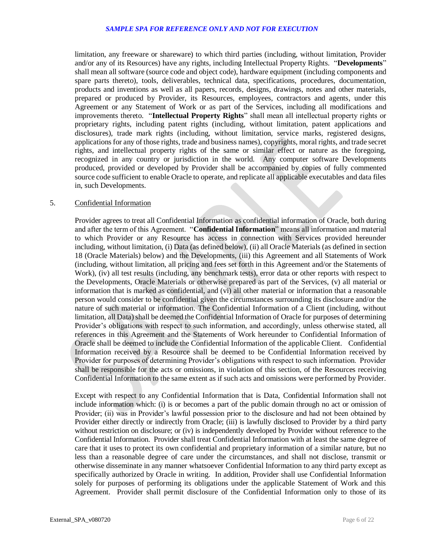limitation, any freeware or shareware) to which third parties (including, without limitation, Provider and/or any of its Resources) have any rights, including Intellectual Property Rights. "**Developments**" shall mean all software (source code and object code), hardware equipment (including components and spare parts thereto), tools, deliverables, technical data, specifications, procedures, documentation, products and inventions as well as all papers, records, designs, drawings, notes and other materials, prepared or produced by Provider, its Resources, employees, contractors and agents, under this Agreement or any Statement of Work or as part of the Services, including all modifications and improvements thereto. "**Intellectual Property Rights**" shall mean all intellectual property rights or proprietary rights, including patent rights (including, without limitation, patent applications and disclosures), trade mark rights (including, without limitation, service marks, registered designs, applications for any of those rights, trade and business names), copyrights, moral rights, and trade secret rights, and intellectual property rights of the same or similar effect or nature as the foregoing, recognized in any country or jurisdiction in the world. Any computer software Developments produced, provided or developed by Provider shall be accompanied by copies of fully commented source code sufficient to enable Oracle to operate, and replicate all applicable executables and data files in, such Developments.

## 5. Confidential Information

 Provider agrees to treat all Confidential Information as confidential information of Oracle, both during and after the term of this Agreement. "**Confidential Information**" means all information and material to which Provider or any Resource has access in connection with Services provided hereunder including, without limitation, (i) Data (as defined below), (ii) all Oracle Materials (as defined in section 18 (Oracle Materials) below) and the Developments, (iii) this Agreement and all Statements of Work (including, without limitation, all pricing and fees set forth in this Agreement and/or the Statements of Work), (iv) all test results (including, any benchmark tests), error data or other reports with respect to the Developments, Oracle Materials or otherwise prepared as part of the Services, (v) all material or information that is marked as confidential, and (vi) all other material or information that a reasonable person would consider to be confidential given the circumstances surrounding its disclosure and/or the nature of such material or information. The Confidential Information of a Client (including, without limitation, all Data) shall be deemed the Confidential Information of Oracle for purposes of determining Provider's obligations with respect to such information, and accordingly, unless otherwise stated, all references in this Agreement and the Statements of Work hereunder to Confidential Information of Oracle shall be deemed to include the Confidential Information of the applicable Client. Confidential Information received by a Resource shall be deemed to be Confidential Information received by Provider for purposes of determining Provider's obligations with respect to such information. Provider shall be responsible for the acts or omissions, in violation of this section, of the Resources receiving Confidential Information to the same extent as if such acts and omissions were performed by Provider.

 Except with respect to any Confidential Information that is Data, Confidential Information shall not include information which: (i) is or becomes a part of the public domain through no act or omission of Provider; (ii) was in Provider's lawful possession prior to the disclosure and had not been obtained by Provider either directly or indirectly from Oracle; (iii) is lawfully disclosed to Provider by a third party without restriction on disclosure; or (iv) is independently developed by Provider without reference to the Confidential Information. Provider shall treat Confidential Information with at least the same degree of care that it uses to protect its own confidential and proprietary information of a similar nature, but no less than a reasonable degree of care under the circumstances, and shall not disclose, transmit or otherwise disseminate in any manner whatsoever Confidential Information to any third party except as specifically authorized by Oracle in writing. In addition, Provider shall use Confidential Information solely for purposes of performing its obligations under the applicable Statement of Work and this Agreement. Provider shall permit disclosure of the Confidential Information only to those of its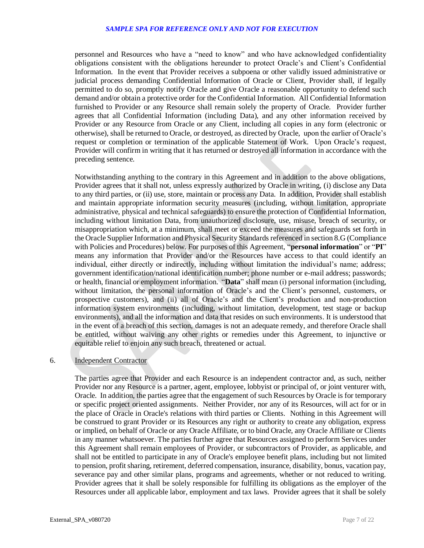personnel and Resources who have a "need to know" and who have acknowledged confidentiality obligations consistent with the obligations hereunder to protect Oracle's and Client's Confidential Information. In the event that Provider receives a subpoena or other validly issued administrative or judicial process demanding Confidential Information of Oracle or Client, Provider shall, if legally permitted to do so, promptly notify Oracle and give Oracle a reasonable opportunity to defend such demand and/or obtain a protective order for the Confidential Information. All Confidential Information furnished to Provider or any Resource shall remain solely the property of Oracle. Provider further agrees that all Confidential Information (including Data), and any other information received by Provider or any Resource from Oracle or any Client, including all copies in any form (electronic or otherwise), shall be returned to Oracle, or destroyed, as directed by Oracle, upon the earlier of Oracle's request or completion or termination of the applicable Statement of Work. Upon Oracle's request, Provider will confirm in writing that it has returned or destroyed all information in accordance with the preceding sentence.

 Notwithstanding anything to the contrary in this Agreement and in addition to the above obligations, Provider agrees that it shall not, unless expressly authorized by Oracle in writing, (i) disclose any Data to any third parties, or (ii) use, store, maintain or process any Data. In addition, Provider shall establish and maintain appropriate information security measures (including, without limitation, appropriate administrative, physical and technical safeguards) to ensure the protection of Confidential Information, including without limitation Data, from unauthorized disclosure, use, misuse, breach of security, or misappropriation which, at a minimum, shall meet or exceed the measures and safeguards set forth in the Oracle Supplier Information and Physical Security Standards referenced in section 8.G (Compliance with Policies and Procedures) below. For purposes of this Agreement, "**personal information**" or "**PI**" means any information that Provider and/or the Resources have access to that could identify an individual, either directly or indirectly, including without limitation the individual's name; address; government identification/national identification number; phone number or e-mail address; passwords; or health, financial or employment information. "**Data**" shall mean (i) personal information (including, without limitation, the personal information of Oracle's and the Client's personnel, customers, or prospective customers), and (ii) all of Oracle's and the Client's production and non-production information system environments (including, without limitation, development, test stage or backup environments), and all the information and data that resides on such environments. It is understood that in the event of a breach of this section, damages is not an adequate remedy, and therefore Oracle shall be entitled, without waiving any other rights or remedies under this Agreement, to injunctive or equitable relief to enjoin any such breach, threatened or actual.

# 6. Independent Contractor

 The parties agree that Provider and each Resource is an independent contractor and, as such, neither Provider nor any Resource is a partner, agent, employee, lobbyist or principal of, or joint venturer with, Oracle. In addition, the parties agree that the engagement of such Resources by Oracle is for temporary or specific project oriented assignments. Neither Provider, nor any of its Resources, will act for or in the place of Oracle in Oracle's relations with third parties or Clients. Nothing in this Agreement will be construed to grant Provider or its Resources any right or authority to create any obligation, express or implied, on behalf of Oracle or any Oracle Affiliate, or to bind Oracle, any Oracle Affiliate or Clients in any manner whatsoever. The parties further agree that Resources assigned to perform Services under this Agreement shall remain employees of Provider, or subcontractors of Provider, as applicable, and shall not be entitled to participate in any of Oracle's employee benefit plans, including but not limited to pension, profit sharing, retirement, deferred compensation, insurance, disability, bonus, vacation pay, severance pay and other similar plans, programs and agreements, whether or not reduced to writing. Provider agrees that it shall be solely responsible for fulfilling its obligations as the employer of the Resources under all applicable labor, employment and tax laws. Provider agrees that it shall be solely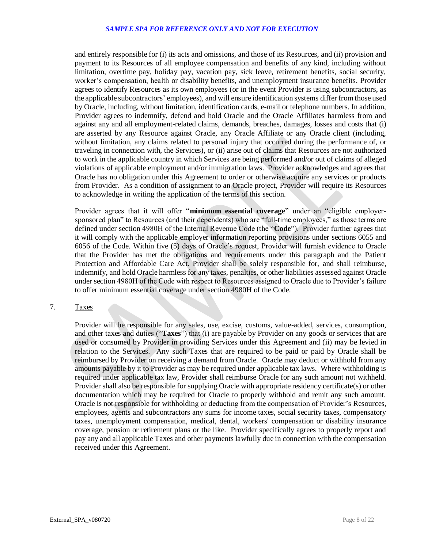and entirely responsible for (i) its acts and omissions, and those of its Resources, and (ii) provision and payment to its Resources of all employee compensation and benefits of any kind, including without limitation, overtime pay, holiday pay, vacation pay, sick leave, retirement benefits, social security, worker's compensation, health or disability benefits, and unemployment insurance benefits. Provider agrees to identify Resources as its own employees (or in the event Provider is using subcontractors, as the applicable subcontractors' employees), and will ensure identification systems differ from those used by Oracle, including, without limitation, identification cards, e-mail or telephone numbers. In addition, Provider agrees to indemnify, defend and hold Oracle and the Oracle Affiliates harmless from and against any and all employment-related claims, demands, breaches, damages, losses and costs that (i) are asserted by any Resource against Oracle, any Oracle Affiliate or any Oracle client (including, without limitation, any claims related to personal injury that occurred during the performance of, or traveling in connection with, the Services), or (ii) arise out of claims that Resources are not authorized to work in the applicable country in which Services are being performed and/or out of claims of alleged violations of applicable employment and/or immigration laws. Provider acknowledges and agrees that Oracle has no obligation under this Agreement to order or otherwise acquire any services or products from Provider. As a condition of assignment to an Oracle project, Provider will require its Resources to acknowledge in writing the application of the terms of this section.

 Provider agrees that it will offer "**minimum essential coverage**" under an "eligible employer- sponsored plan" to Resources (and their dependents) who are "full-time employees," as those terms are defined under section 4980H of the Internal Revenue Code (the "**Code**"). Provider further agrees that it will comply with the applicable employer information reporting provisions under sections 6055 and 6056 of the Code. Within five (5) days of Oracle's request, Provider will furnish evidence to Oracle that the Provider has met the obligations and requirements under this paragraph and the Patient Protection and Affordable Care Act. Provider shall be solely responsible for, and shall reimburse, indemnify, and hold Oracle harmless for any taxes, penalties, or other liabilities assessed against Oracle under section 4980H of the Code with respect to Resources assigned to Oracle due to Provider's failure to offer minimum essential coverage under section 4980H of the Code.

#### Taxes 7.

 Provider will be responsible for any sales, use, excise, customs, value-added, services, consumption, and other taxes and duties ("**Taxes**") that (i) are payable by Provider on any goods or services that are used or consumed by Provider in providing Services under this Agreement and (ii) may be levied in relation to the Services. Any such Taxes that are required to be paid or paid by Oracle shall be reimbursed by Provider on receiving a demand from Oracle. Oracle may deduct or withhold from any amounts payable by it to Provider as may be required under applicable tax laws. Where withholding is required under applicable tax law, Provider shall reimburse Oracle for any such amount not withheld. Provider shall also be responsible for supplying Oracle with appropriate residency certificate(s) or other documentation which may be required for Oracle to properly withhold and remit any such amount. Oracle is not responsible for withholding or deducting from the compensation of Provider's Resources, employees, agents and subcontractors any sums for income taxes, social security taxes, compensatory taxes, unemployment compensation, medical, dental, workers' compensation or disability insurance coverage, pension or retirement plans or the like. Provider specifically agrees to properly report and pay any and all applicable Taxes and other payments lawfully due in connection with the compensation received under this Agreement.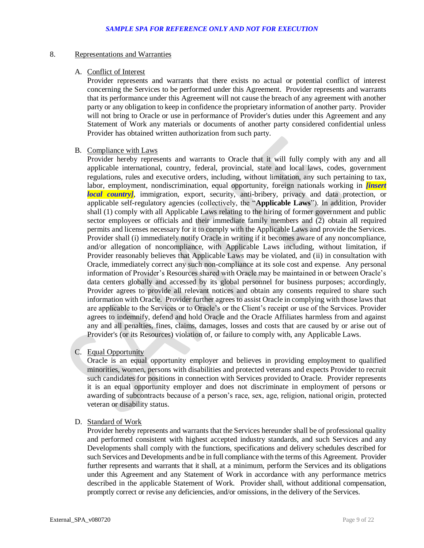# 8. Representations and Warranties

## A. Conflict of Interest

 Provider represents and warrants that there exists no actual or potential conflict of interest concerning the Services to be performed under this Agreement. Provider represents and warrants that its performance under this Agreement will not cause the breach of any agreement with another party or any obligation to keep in confidence the proprietary information of another party. Provider will not bring to Oracle or use in performance of Provider's duties under this Agreement and any Statement of Work any materials or documents of another party considered confidential unless Provider has obtained written authorization from such party.

#### B. Compliance with Laws

 Provider hereby represents and warrants to Oracle that it will fully comply with any and all applicable international, country, federal, provincial, state and local laws, codes, government regulations, rules and executive orders, including, without limitation, any such pertaining to tax, labor, employment, nondiscrimination, equal opportunity, foreign nationals working in *[insert local country]*, immigration, export, security, anti-bribery, privacy and data protection, or applicable self-regulatory agencies (collectively, the "**Applicable Laws**"). In addition, Provider shall (1) comply with all Applicable Laws relating to the hiring of former government and public sector employees or officials and their immediate family members and (2) obtain all required permits and licenses necessary for it to comply with the Applicable Laws and provide the Services. Provider shall (i) immediately notify Oracle in writing if it becomes aware of any noncompliance, and/or allegation of noncompliance, with Applicable Laws including, without limitation, if Provider reasonably believes that Applicable Laws may be violated, and (ii) in consultation with Oracle, immediately correct any such non-compliance at its sole cost and expense. Any personal information of Provider's Resources shared with Oracle may be maintained in or between Oracle's data centers globally and accessed by its global personnel for business purposes; accordingly, Provider agrees to provide all relevant notices and obtain any consents required to share such information with Oracle. Provider further agrees to assist Oracle in complying with those laws that are applicable to the Services or to Oracle's or the Client's receipt or use of the Services. Provider agrees to indemnify, defend and hold Oracle and the Oracle Affiliates harmless from and against any and all penalties, fines, claims, damages, losses and costs that are caused by or arise out of Provider's (or its Resources) violation of, or failure to comply with, any Applicable Laws.

## C. Equal Opportunity

 Oracle is an equal opportunity employer and believes in providing employment to qualified minorities, women, persons with disabilities and protected veterans and expects Provider to recruit such candidates for positions in connection with Services provided to Oracle. Provider represents it is an equal opportunity employer and does not discriminate in employment of persons or awarding of subcontracts because of a person's race, sex, age, religion, national origin, protected veteran or disability status.

## D. Standard of Work

 Provider hereby represents and warrants that the Services hereunder shall be of professional quality and performed consistent with highest accepted industry standards, and such Services and any Developments shall comply with the functions, specifications and delivery schedules described for such Services and Developments and be in full compliance with the terms of this Agreement. Provider further represents and warrants that it shall, at a minimum, perform the Services and its obligations under this Agreement and any Statement of Work in accordance with any performance metrics described in the applicable Statement of Work. Provider shall, without additional compensation, promptly correct or revise any deficiencies, and/or omissions, in the delivery of the Services.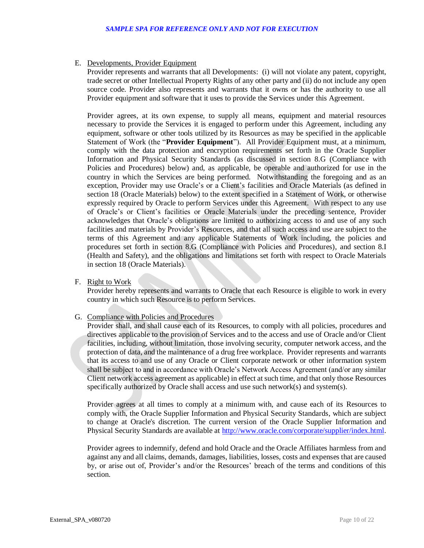# E. Developments, Provider Equipment

 Provider represents and warrants that all Developments: (i) will not violate any patent, copyright, trade secret or other Intellectual Property Rights of any other party and (ii) do not include any open source code. Provider also represents and warrants that it owns or has the authority to use all Provider equipment and software that it uses to provide the Services under this Agreement.

 Provider agrees, at its own expense, to supply all means, equipment and material resources necessary to provide the Services it is engaged to perform under this Agreement, including any equipment, software or other tools utilized by its Resources as may be specified in the applicable Statement of Work (the "**Provider Equipment**"). All Provider Equipment must, at a minimum, comply with the data protection and encryption requirements set forth in the Oracle Supplier Information and Physical Security Standards (as discussed in section 8.G (Compliance with Policies and Procedures) below) and, as applicable, be operable and authorized for use in the country in which the Services are being performed. Notwithstanding the foregoing and as an exception, Provider may use Oracle's or a Client's facilities and Oracle Materials (as defined in section 18 (Oracle Materials) below) to the extent specified in a Statement of Work, or otherwise expressly required by Oracle to perform Services under this Agreement. With respect to any use of Oracle's or Client's facilities or Oracle Materials under the preceding sentence, Provider acknowledges that Oracle's obligations are limited to authorizing access to and use of any such facilities and materials by Provider's Resources, and that all such access and use are subject to the terms of this Agreement and any applicable Statements of Work including, the policies and procedures set forth in section 8.G (Compliance with Policies and Procedures), and section 8.I (Health and Safety), and the obligations and limitations set forth with respect to Oracle Materials in section 18 (Oracle Materials).

F. Right to Work

 Provider hereby represents and warrants to Oracle that each Resource is eligible to work in every country in which such Resource is to perform Services.

## G. Compliance with Policies and Procedures

 Provider shall, and shall cause each of its Resources, to comply with all policies, procedures and directives applicable to the provision of Services and to the access and use of Oracle and/or Client facilities, including, without limitation, those involving security, computer network access, and the protection of data, and the maintenance of a drug free workplace. Provider represents and warrants that its access to and use of any Oracle or Client corporate network or other information system shall be subject to and in accordance with Oracle's Network Access Agreement (and/or any similar Client network access agreement as applicable) in effect at such time, and that only those Resources specifically authorized by Oracle shall access and use such network(s) and system(s).

 Provider agrees at all times to comply at a minimum with, and cause each of its Resources to comply with, the Oracle Supplier Information and Physical Security Standards, which are subject to change at Oracle's discretion. The current version of the Oracle Supplier Information and Physical Security Standards are available at http://www.oracle.com/corporate/supplier/index.html.

 Provider agrees to indemnify, defend and hold Oracle and the Oracle Affiliates harmless from and against any and all claims, demands, damages, liabilities, losses, costs and expenses that are caused by, or arise out of, Provider's and/or the Resources' breach of the terms and conditions of this section.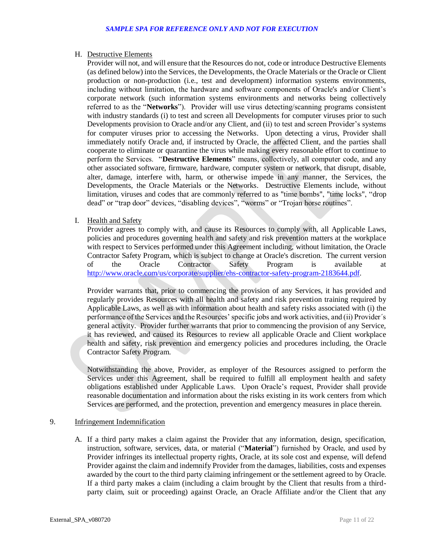# H. Destructive Elements

 Provider will not, and will ensure that the Resources do not, code or introduce Destructive Elements (as defined below) into the Services, the Developments, the Oracle Materials or the Oracle or Client production or non-production (i.e., test and development) information systems environments, including without limitation, the hardware and software components of Oracle's and/or Client's corporate network (such information systems environments and networks being collectively referred to as the "**Networks**"). Provider will use virus detecting/scanning programs consistent with industry standards (i) to test and screen all Developments for computer viruses prior to such Developments provision to Oracle and/or any Client, and (ii) to test and screen Provider's systems for computer viruses prior to accessing the Networks. Upon detecting a virus, Provider shall immediately notify Oracle and, if instructed by Oracle, the affected Client, and the parties shall cooperate to eliminate or quarantine the virus while making every reasonable effort to continue to perform the Services. "**Destructive Elements**" means, collectively, all computer code, and any other associated software, firmware, hardware, computer system or network, that disrupt, disable, alter, damage, interfere with, harm, or otherwise impede in any manner, the Services, the Developments, the Oracle Materials or the Networks. Destructive Elements include, without limitation, viruses and codes that are commonly referred to as "time bombs", "time locks", "drop dead" or "trap door" devices, "disabling devices", "worms" or "Trojan horse routines".

# I. Health and Safety

 Provider agrees to comply with, and cause its Resources to comply with, all Applicable Laws, policies and procedures governing health and safety and risk prevention matters at the workplace with respect to Services performed under this Agreement including, without limitation, the Oracle Contractor Safety Program, which is subject to change at Oracle's discretion. The current version  $\alpha$ f of the Oracle Contractor Safety Program is available at [http://www.oracle.com/us/corporate/supplier/ehs-contractor-safety-program-2183644.pdf.](http://www.oracle.com/us/corporate/supplier/ehs-contractor-safety-program-2183644.pdf)

 Provider warrants that, prior to commencing the provision of any Services, it has provided and regularly provides Resources with all health and safety and risk prevention training required by Applicable Laws, as well as with information about health and safety risks associated with (i) the performance of the Services and the Resources' specific jobs and work activities, and (ii) Provider's general activity. Provider further warrants that prior to commencing the provision of any Service, it has reviewed, and caused its Resources to review all applicable Oracle and Client workplace health and safety, risk prevention and emergency policies and procedures including, the Oracle Contractor Safety Program.

 Notwithstanding the above, Provider, as employer of the Resources assigned to perform the Services under this Agreement, shall be required to fulfill all employment health and safety obligations established under Applicable Laws. Upon Oracle's request, Provider shall provide reasonable documentation and information about the risks existing in its work centers from which Services are performed, and the protection, prevention and emergency measures in place therein.

# 9. Infringement Indemnification

 A. If a third party makes a claim against the Provider that any information, design, specification, instruction, software, services, data, or material ("**Material**") furnished by Oracle, and used by Provider infringes its intellectual property rights, Oracle, at its sole cost and expense, will defend Provider against the claim and indemnify Provider from the damages, liabilities, costs and expenses awarded by the court to the third party claiming infringement or the settlement agreed to by Oracle. If a third party makes a claim (including a claim brought by the Client that results from a third-party claim, suit or proceeding) against Oracle, an Oracle Affiliate and/or the Client that any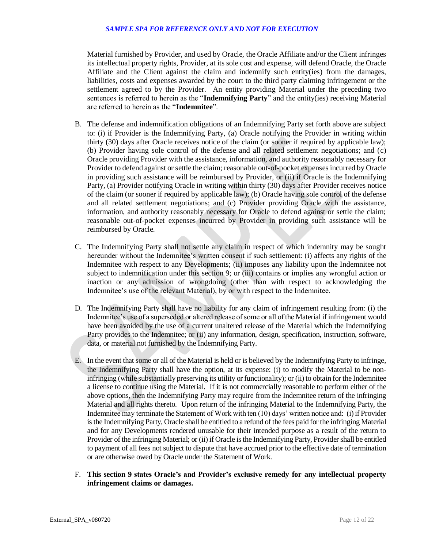Material furnished by Provider, and used by Oracle, the Oracle Affiliate and/or the Client infringes its intellectual property rights, Provider, at its sole cost and expense, will defend Oracle, the Oracle Affiliate and the Client against the claim and indemnify such entity(ies) from the damages, liabilities, costs and expenses awarded by the court to the third party claiming infringement or the settlement agreed to by the Provider. An entity providing Material under the preceding two sentences is referred to herein as the "**Indemnifying Party**" and the entity(ies) receiving Material are referred to herein as the "**Indemnitee**".

- B. The defense and indemnification obligations of an Indemnifying Party set forth above are subject to: (i) if Provider is the Indemnifying Party, (a) Oracle notifying the Provider in writing within thirty (30) days after Oracle receives notice of the claim (or sooner if required by applicable law); (b) Provider having sole control of the defense and all related settlement negotiations; and (c) Oracle providing Provider with the assistance, information, and authority reasonably necessary for Provider to defend against or settle the claim; reasonable out-of-pocket expenses incurred by Oracle in providing such assistance will be reimbursed by Provider, or (ii) if Oracle is the Indemnifying Party, (a) Provider notifying Oracle in writing within thirty (30) days after Provider receives notice of the claim (or sooner if required by applicable law); (b) Oracle having sole control of the defense and all related settlement negotiations; and (c) Provider providing Oracle with the assistance, information, and authority reasonably necessary for Oracle to defend against or settle the claim; reasonable out-of-pocket expenses incurred by Provider in providing such assistance will be reimbursed by Oracle.
- C. The Indemnifying Party shall not settle any claim in respect of which indemnity may be sought hereunder without the Indemnitee's written consent if such settlement: (i) affects any rights of the Indemnitee with respect to any Developments; (ii) imposes any liability upon the Indemnitee not subject to indemnification under this section 9; or (iii) contains or implies any wrongful action or inaction or any admission of wrongdoing (other than with respect to acknowledging the Indemnitee's use of the relevant Material), by or with respect to the Indemnitee.
- D. The Indemnifying Party shall have no liability for any claim of infringement resulting from: (i) the Indemnitee's use of a superseded or altered release of some or all of the Material if infringement would have been avoided by the use of a current unaltered release of the Material which the Indemnifying Party provides to the Indemnitee; or (ii) any information, design, specification, instruction, software, data, or material not furnished by the Indemnifying Party.
- E. In the event that some or all of the Material is held or is believed by the Indemnifying Party to infringe, the Indemnifying Party shall have the option, at its expense: (i) to modify the Material to be non- infringing (while substantially preserving its utility or functionality); or (ii) to obtain for the Indemnitee a license to continue using the Material. If it is not commercially reasonable to perform either of the above options, then the Indemnifying Party may require from the Indemnitee return of the infringing Material and all rights thereto. Upon return of the infringing Material to the Indemnifying Party, the Indemnitee may terminate the Statement of Work with ten (10) days' written notice and: (i) if Provider is the Indemnifying Party, Oracle shall be entitled to a refund of the fees paid for the infringing Material and for any Developments rendered unusable for their intended purpose as a result of the return to Provider of the infringing Material; or (ii) if Oracle is the Indemnifying Party, Provider shall be entitled to payment of all fees not subject to dispute that have accrued prior to the effective date of termination or are otherwise owed by Oracle under the Statement of Work.
- F. **This section 9 states Oracle's and Provider's exclusive remedy for any intellectual property infringement claims or damages.**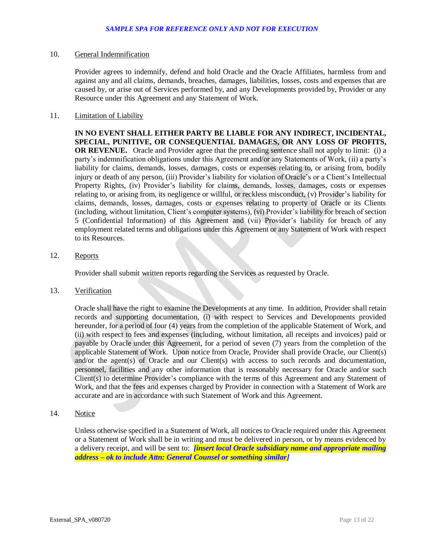## 10. General Indemnification

 Provider agrees to indemnify, defend and hold Oracle and the Oracle Affiliates, harmless from and against any and all claims, demands, breaches, damages, liabilities, losses, costs and expenses that are caused by, or arise out of Services performed by, and any Developments provided by, Provider or any Resource under this Agreement and any Statement of Work.

# 11. **Limitation of Liability**

 **IN NO EVENT SHALL EITHER PARTY BE LIABLE FOR ANY INDIRECT, INCIDENTAL, SPECIAL, PUNITIVE, OR CONSEQUENTIAL DAMAGES, OR ANY LOSS OF PROFITS, OR REVENUE.** Oracle and Provider agree that the preceding sentence shall not apply to limit: (i) a party's indemnification obligations under this Agreement and/or any Statements of Work, (ii) a party's liability for claims, demands, losses, damages, costs or expenses relating to, or arising from, bodily injury or death of any person, (iii) Provider's liability for violation of Oracle's or a Client's Intellectual Property Rights, (iv) Provider's liability for claims, demands, losses, damages, costs or expenses relating to, or arising from, its negligence or willful, or reckless misconduct, (v) Provider's liability for claims, demands, losses, damages, costs or expenses relating to property of Oracle or its Clients (including, without limitation, Client's computer systems), (vi) Provider's liability for breach of section 5 (Confidential Information) of this Agreement and (vii) Provider's liability for breach of any employment related terms and obligations under this Agreement or any Statement of Work with respect to its Resources.

# 12. Reports

Provider shall submit written reports regarding the Services as requested by Oracle.

## 13. Verification

 Oracle shall have the right to examine the Developments at any time. In addition, Provider shall retain records and supporting documentation, (i) with respect to Services and Developments provided hereunder, for a period of four (4) years from the completion of the applicable Statement of Work, and (ii) with respect to fees and expenses (including, without limitation, all receipts and invoices) paid or payable by Oracle under this Agreement, for a period of seven (7) years from the completion of the applicable Statement of Work. Upon notice from Oracle, Provider shall provide Oracle, our Client(s) and/or the agent(s) of Oracle and our Client(s) with access to such records and documentation, personnel, facilities and any other information that is reasonably necessary for Oracle and/or such Client(s) to determine Provider's compliance with the terms of this Agreement and any Statement of Work, and that the fees and expenses charged by Provider in connection with a Statement of Work are accurate and are in accordance with such Statement of Work and this Agreement.

## 14. Notice

 Unless otherwise specified in a Statement of Work, all notices to Oracle required under this Agreement or a Statement of Work shall be in writing and must be delivered in person, or by means evidenced by a delivery receipt, and will be sent to: *[insert local Oracle subsidiary name and appropriate mailing address – ok to include Attn: General Counsel or something similar]*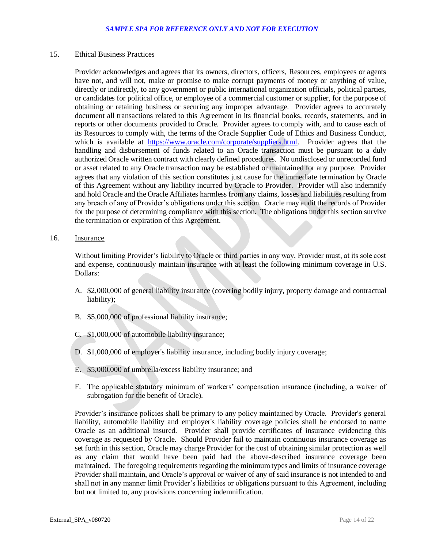## 15. Ethical Business Practices

 Provider acknowledges and agrees that its owners, directors, officers, Resources, employees or agents have not, and will not, make or promise to make corrupt payments of money or anything of value, directly or indirectly, to any government or public international organization officials, political parties, or candidates for political office, or employee of a commercial customer or supplier, for the purpose of obtaining or retaining business or securing any improper advantage. Provider agrees to accurately document all transactions related to this Agreement in its financial books, records, statements, and in reports or other documents provided to Oracle. Provider agrees to comply with, and to cause each of its Resources to comply with, the terms of the Oracle Supplier Code of Ethics and Business Conduct, which is available at [https://www.oracle.com/corporate/suppliers.html.](https://www.oracle.com/corporate/suppliers.html) Provider agrees that the handling and disbursement of funds related to an Oracle transaction must be pursuant to a duly authorized Oracle written contract with clearly defined procedures. No undisclosed or unrecorded fund or asset related to any Oracle transaction may be established or maintained for any purpose. Provider agrees that any violation of this section constitutes just cause for the immediate termination by Oracle of this Agreement without any liability incurred by Oracle to Provider. Provider will also indemnify and hold Oracle and the Oracle Affiliates harmless from any claims, losses and liabilities resulting from any breach of any of Provider's obligations under this section. Oracle may audit the records of Provider for the purpose of determining compliance with this section. The obligations under this section survive the termination or expiration of this Agreement.

16. Insurance

 Without limiting Provider's liability to Oracle or third parties in any way, Provider must, at its sole cost and expense, continuously maintain insurance with at least the following minimum coverage in U.S. Dollars:

- A. \$2,000,000 of general liability insurance (covering bodily injury, property damage and contractual liability);
- B. \$5,000,000 of professional liability insurance;
- C. \$1,000,000 of automobile liability insurance;
- D. \$1,000,000 of employer's liability insurance, including bodily injury coverage;
- E. \$5,000,000 of umbrella/excess liability insurance; and
- F. The applicable statutory minimum of workers' compensation insurance (including, a waiver of subrogation for the benefit of Oracle).

 Provider's insurance policies shall be primary to any policy maintained by Oracle. Provider's general liability, automobile liability and employer's liability coverage policies shall be endorsed to name Oracle as an additional insured. Provider shall provide certificates of insurance evidencing this coverage as requested by Oracle. Should Provider fail to maintain continuous insurance coverage as set forth in this section, Oracle may charge Provider for the cost of obtaining similar protection as well as any claim that would have been paid had the above-described insurance coverage been maintained. The foregoing requirements regarding the minimum types and limits of insurance coverage Provider shall maintain, and Oracle's approval or waiver of any of said insurance is not intended to and shall not in any manner limit Provider's liabilities or obligations pursuant to this Agreement, including but not limited to, any provisions concerning indemnification.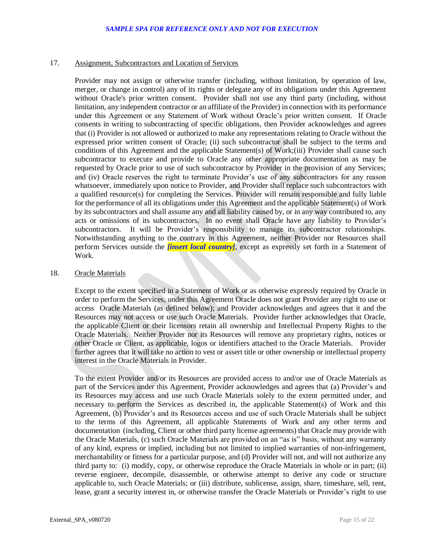# 17. Assignment, Subcontractors and Location of Services

 Provider may not assign or otherwise transfer (including, without limitation, by operation of law, merger, or change in control) any of its rights or delegate any of its obligations under this Agreement without Oracle's prior written consent. Provider shall not use any third party (including, without limitation, any independent contractor or an affiliate of the Provider) in connection with its performance under this Agreement or any Statement of Work without Oracle's prior written consent. If Oracle consents in writing to subcontracting of specific obligations, then Provider acknowledges and agrees that (i) Provider is not allowed or authorized to make any representations relating to Oracle without the expressed prior written consent of Oracle; (ii) such subcontractor shall be subject to the terms and conditions of this Agreement and the applicable Statement(s) of Work;(iii) Provider shall cause such subcontractor to execute and provide to Oracle any other appropriate documentation as may be requested by Oracle prior to use of such subcontractor by Provider in the provision of any Services; and (iv) Oracle reserves the right to terminate Provider's use of any subcontractors for any reason whatsoever, immediately upon notice to Provider, and Provider shall replace such subcontractors with a qualified resource(s) for completing the Services. Provider will remain responsible and fully liable for the performance of all its obligations under this Agreement and the applicable Statement(s) of Work by its subcontractors and shall assume any and all liability caused by, or in any way contributed to, any acts or omissions of its subcontractors. In no event shall Oracle have any liability to Provider's subcontractors. It will be Provider's responsibility to manage its subcontractor relationships. Notwithstanding anything to the contrary in this Agreement, neither Provider nor Resources shall perform Services outside the *[insert local country]*, except as expressly set forth in a Statement of Work.

#### 18. Oracle Materials

 Except to the extent specified in a Statement of Work or as otherwise expressly required by Oracle in order to perform the Services, under this Agreement Oracle does not grant Provider any right to use or access Oracle Materials (as defined below); and Provider acknowledges and agrees that it and the Resources may not access or use such Oracle Materials. Provider further acknowledges that Oracle, the applicable Client or their licensors retain all ownership and Intellectual Property Rights to the Oracle Materials. Neither Provider nor its Resources will remove any proprietary rights, notices or other Oracle or Client, as applicable, logos or identifiers attached to the Oracle Materials. Provider further agrees that it will take no action to vest or assert title or other ownership or intellectual property interest in the Oracle Materials in Provider.

 To the extent Provider and/or its Resources are provided access to and/or use of Oracle Materials as part of the Services under this Agreement, Provider acknowledges and agrees that (a) Provider's and its Resources may access and use such Oracle Materials solely to the extent permitted under, and necessary to perform the Services as described in, the applicable Statement(s) of Work and this Agreement, (b) Provider's and its Resources access and use of such Oracle Materials shall be subject to the terms of this Agreement, all applicable Statements of Work and any other terms and documentation (including, Client or other third party license agreements) that Oracle may provide with the Oracle Materials, (c) such Oracle Materials are provided on an "as is" basis, without any warranty of any kind, express or implied, including but not limited to implied warranties of non-infringement, merchantability or fitness for a particular purpose, and (d) Provider will not, and will not authorize any third party to: (i) modify, copy, or otherwise reproduce the Oracle Materials in whole or in part; (ii) reverse engineer, decompile, disassemble, or otherwise attempt to derive any code or structure applicable to, such Oracle Materials; or (iii) distribute, sublicense, assign, share, timeshare, sell, rent, lease, grant a security interest in, or otherwise transfer the Oracle Materials or Provider's right to use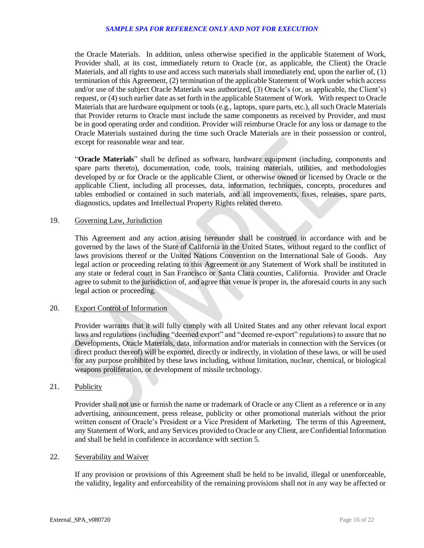the Oracle Materials. In addition, unless otherwise specified in the applicable Statement of Work, Provider shall, at its cost, immediately return to Oracle (or, as applicable, the Client) the Oracle Materials, and all rights to use and access such materials shall immediately end, upon the earlier of, (1) termination of this Agreement, (2) termination of the applicable Statement of Work under which access and/or use of the subject Oracle Materials was authorized, (3) Oracle's (or, as applicable, the Client's) request, or (4) such earlier date as set forth in the applicable Statement of Work. With respect to Oracle Materials that are hardware equipment or tools (e.g., laptops, spare parts, etc.), all such Oracle Materials that Provider returns to Oracle must include the same components as received by Provider, and must be in good operating order and condition. Provider will reimburse Oracle for any loss or damage to the Oracle Materials sustained during the time such Oracle Materials are in their possession or control, except for reasonable wear and tear.

 "**Oracle Materials**" shall be defined as software, hardware equipment (including, components and spare parts thereto), documentation, code, tools, training materials, utilities, and methodologies developed by or for Oracle or the applicable Client, or otherwise owned or licensed by Oracle or the applicable Client, including all processes, data, information, techniques, concepts, procedures and tables embodied or contained in such materials, and all improvements, fixes, releases, spare parts, diagnostics, updates and Intellectual Property Rights related thereto.

## 19. Governing Law, Jurisdiction

 This Agreement and any action arising hereunder shall be construed in accordance with and be governed by the laws of the State of California in the United States, without regard to the conflict of laws provisions thereof or the United Nations Convention on the International Sale of Goods. Any legal action or proceeding relating to this Agreement or any Statement of Work shall be instituted in any state or federal court in San Francisco or Santa Clara counties, California. Provider and Oracle agree to submit to the jurisdiction of, and agree that venue is proper in, the aforesaid courts in any such legal action or proceeding.

## 20. Export Control of Information

 Provider warrants that it will fully comply with all United States and any other relevant local export laws and regulations (including "deemed export" and "deemed re-export" regulations) to assure that no Developments, Oracle Materials, data, information and/or materials in connection with the Services (or direct product thereof) will be exported, directly or indirectly, in violation of these laws, or will be used for any purpose prohibited by these laws including, without limitation, nuclear, chemical, or biological weapons proliferation, or development of missile technology.

# 21. Publicity

 Provider shall not use or furnish the name or trademark of Oracle or any Client as a reference or in any advertising, announcement, press release, publicity or other promotional materials without the prior written consent of Oracle's President or a Vice President of Marketing. The terms of this Agreement, any Statement of Work, and any Services provided to Oracle or any Client, are Confidential Information and shall be held in confidence in accordance with section 5.

# 22. Severability and Waiver

 If any provision or provisions of this Agreement shall be held to be invalid, illegal or unenforceable, the validity, legality and enforceability of the remaining provisions shall not in any way be affected or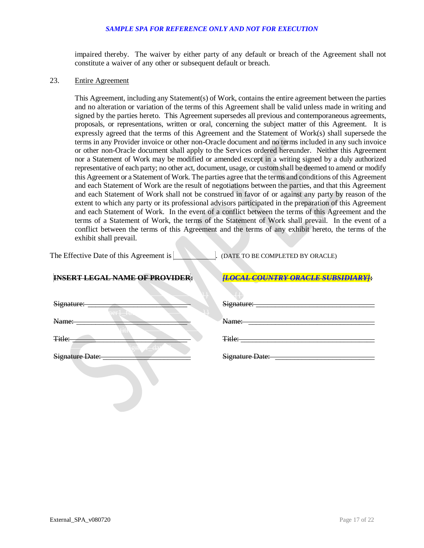impaired thereby. The waiver by either party of any default or breach of the Agreement shall not constitute a waiver of any other or subsequent default or breach.

# 23. Entire Agreement

terms in any Provider invoice or other non-Oracle document and no terms included in any such invoice or other non-Oracle document shall apply to the Services ordered hereunder. Neither this Agreement nor a Statement of Work may be modified or amended except in a writing signed by a duly authorized representative of each party; no other act, document, usage, or custom shall be deemed to amend or modify this Agreement or a Statement of Work. The parties agree that the terms and conditions of this Agreement and each Statement of Work are the result of negotiations between the parties, and that this Agreement and each Statement of Work shall not be construed in favor of or against any party by reason of the extent to which any party or its professional advisors participated in the preparation of this Agreement and each Statement of Work. In the event of a conflict between the terms of this Agreement and the terms of a Statement of Work, the terms of the Statement of Work shall prevail. In the event of a conflict between the terms of this Agreement and the terms of any exhibit hereto, the terms of the exhibit shall prevail. This Agreement, including any Statement(s) of Work, contains the entire agreement between the parties and no alteration or variation of the terms of this Agreement shall be valid unless made in writing and signed by the parties hereto. This Agreement supersedes all previous and contemporaneous agreements, proposals, or representations, written or oral, concerning the subject matter of this Agreement. It is expressly agreed that the terms of this Agreement and the Statement of Work(s) shall supersede the

The Effective Date of this Agreement is . (DATE TO BE COMPLETED BY ORACLE)

## **INSERT LEGAL NAME OF PROVIDER:**

|  | II OCAL COUNTRY ORACLE SHRSIDIARVI:              |  |  |  |  |  |  |  |  |  |  |  |  |  |  |  |  |
|--|--------------------------------------------------|--|--|--|--|--|--|--|--|--|--|--|--|--|--|--|--|
|  | <u> 1900 vale voort 1914 van de de Johanne B</u> |  |  |  |  |  |  |  |  |  |  |  |  |  |  |  |  |

| Signature:<br>$\overline{11}$<br>$n \Delta r$ | Signature:      |
|-----------------------------------------------|-----------------|
| <b>TANK AND REAL PROPERTY</b><br>Name:        | Name:           |
| Title:                                        | Title:          |
| Signature Date:                               | Signature Date: |
|                                               |                 |

| Signature:        | $\overline{11}$<br>n ar 1               | Signature: |
|-------------------|-----------------------------------------|------------|
| Name:             | $\sim$ $\sim$ $\sim$                    | Name:      |
| <del>Title:</del> | <b>In the State</b><br>$\sum_{i=1}^{n}$ | Title:     |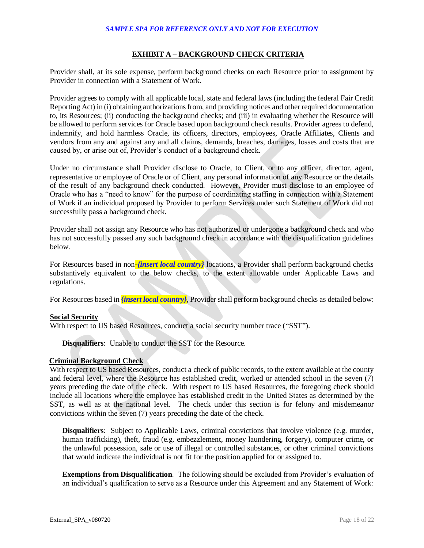## **EXHIBIT A – BACKGROUND CHECK CRITERIA**

 Provider shall, at its sole expense, perform background checks on each Resource prior to assignment by Provider in connection with a Statement of Work.

 Provider agrees to comply with all applicable local, state and federal laws (including the federal Fair Credit Reporting Act) in (i) obtaining authorizations from, and providing notices and other required documentation to, its Resources; (ii) conducting the background checks; and (iii) in evaluating whether the Resource will be allowed to perform services for Oracle based upon background check results. Provider agrees to defend, indemnify, and hold harmless Oracle, its officers, directors, employees, Oracle Affiliates, Clients and vendors from any and against any and all claims, demands, breaches, damages, losses and costs that are caused by, or arise out of, Provider's conduct of a background check.

Under no circumstance shall Provider disclose to Oracle, to Client, or to any officer, director, agent, representative or employee of Oracle or of Client, any personal information of any Resource or the details of the result of any background check conducted. However, Provider must disclose to an employee of Oracle who has a "need to know" for the purpose of coordinating staffing in connection with a Statement of Work if an individual proposed by Provider to perform Services under such Statement of Work did not successfully pass a background check.

 Provider shall not assign any Resource who has not authorized or undergone a background check and who has not successfully passed any such background check in accordance with the disqualification guidelines below.

For Resources based in non-*{insert local country}* locations, a Provider shall perform background checks substantively equivalent to the below checks, to the extent allowable under Applicable Laws and regulations.

For Resources based in *{insert local country}*, Provider shall perform background checks as detailed below:

# **Social Security**

With respect to US based Resources, conduct a social security number trace ("SST").

**Disqualifiers**: Unable to conduct the SST for the Resource.

## **Criminal Background Check**

 With respect to US based Resources, conduct a check of public records, to the extent available at the county and federal level, where the Resource has established credit, worked or attended school in the seven (7) years preceding the date of the check. With respect to US based Resources, the foregoing check should include all locations where the employee has established credit in the United States as determined by the SST, as well as at the national level. The check under this section is for felony and misdemeanor convictions within the seven (7) years preceding the date of the check.

 **Disqualifiers**: Subject to Applicable Laws, criminal convictions that involve violence (e.g. murder, human trafficking), theft, fraud (e.g. embezzlement, money laundering, forgery), computer crime, or the unlawful possession, sale or use of illegal or controlled substances, or other criminal convictions that would indicate the individual is not fit for the position applied for or assigned to.

 **Exemptions from Disqualification**. The following should be excluded from Provider's evaluation of an individual's qualification to serve as a Resource under this Agreement and any Statement of Work: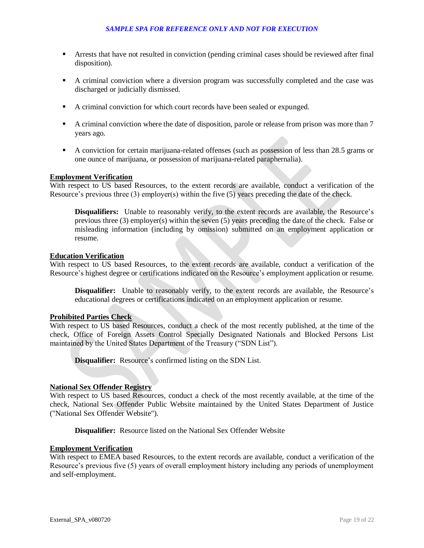- **Arrests that have not resulted in conviction (pending criminal cases should be reviewed after final** disposition).
- A criminal conviction where a diversion program was successfully completed and the case was discharged or judicially dismissed.
- A criminal conviction for which court records have been sealed or expunged.
- A criminal conviction where the date of disposition, parole or release from prison was more than 7 years ago.
- A conviction for certain marijuana-related offenses (such as possession of less than 28.5 grams or one ounce of marijuana, or possession of marijuana-related paraphernalia).

# **Employment Verification**

 With respect to US based Resources, to the extent records are available, conduct a verification of the Resource's previous three (3) employer(s) within the five (5) years preceding the date of the check.

 **Disqualifiers:** Unable to reasonably verify, to the extent records are available, the Resource's previous three (3) employer(s) within the seven (5) years preceding the date of the check. False or misleading information (including by omission) submitted on an employment application or resume.

## **Education Verification**

 With respect to US based Resources, to the extent records are available, conduct a verification of the Resource's highest degree or certifications indicated on the Resource's employment application or resume.

 **Disqualifier:** Unable to reasonably verify, to the extent records are available, the Resource's educational degrees or certifications indicated on an employment application or resume.

## **Prohibited Parties Check**

 With respect to US based Resources, conduct a check of the most recently published, at the time of the check, Office of Foreign Assets Control Specially Designated Nationals and Blocked Persons List maintained by the United States Department of the Treasury ("SDN List").

**Disqualifier:** Resource's confirmed listing on the SDN List.

## **National Sex Offender Registry**

 With respect to US based Resources, conduct a check of the most recently available, at the time of the check, National Sex Offender Public Website maintained by the United States Department of Justice ("National Sex Offender Website").

**Disqualifier:** Resource listed on the National Sex Offender Website

## **Employment Verification**

 With respect to EMEA based Resources, to the extent records are available, conduct a verification of the Resource's previous five (5) years of overall employment history including any periods of unemployment and self-employment.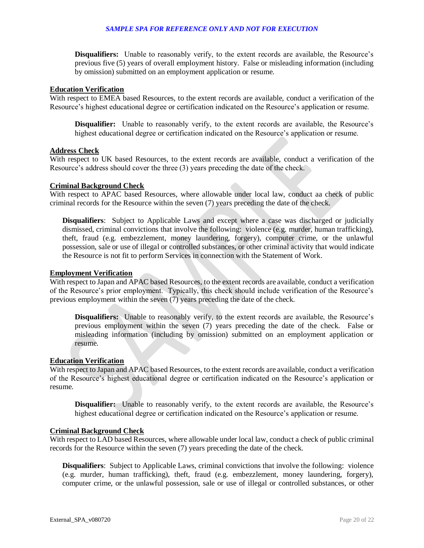**Disqualifiers:** Unable to reasonably verify, to the extent records are available, the Resource's previous five (5) years of overall employment history. False or misleading information (including by omission) submitted on an employment application or resume.

#### **Education Verification**

 With respect to EMEA based Resources, to the extent records are available, conduct a verification of the Resource's highest educational degree or certification indicated on the Resource's application or resume.

 **Disqualifier:** Unable to reasonably verify, to the extent records are available, the Resource's highest educational degree or certification indicated on the Resource's application or resume.

#### **Address Check**

 With respect to UK based Resources, to the extent records are available, conduct a verification of the Resource's address should cover the three (3) years preceding the date of the check.

# **Criminal Background Check**

 With respect to APAC based Resources, where allowable under local law, conduct aa check of public criminal records for the Resource within the seven (7) years preceding the date of the check.

 **Disqualifiers**: Subject to Applicable Laws and except where a case was discharged or judicially dismissed, criminal convictions that involve the following: violence (e.g. murder, human trafficking), theft, fraud (e.g. embezzlement, money laundering, forgery), computer crime, or the unlawful possession, sale or use of illegal or controlled substances, or other criminal activity that would indicate the Resource is not fit to perform Services in connection with the Statement of Work.

#### **Employment Verification**

 With respect to Japan and APAC based Resources, to the extent records are available, conduct a verification of the Resource's prior employment. Typically, this check should include verification of the Resource's previous employment within the seven (7) years preceding the date of the check.

 **Disqualifiers:** Unable to reasonably verify, to the extent records are available, the Resource's previous employment within the seven (7) years preceding the date of the check. False or misleading information (including by omission) submitted on an employment application or resume.

## **Education Verification**

 With respect to Japan and APAC based Resources, to the extent records are available, conduct a verification of the Resource's highest educational degree or certification indicated on the Resource's application or resume.

 **Disqualifier:** Unable to reasonably verify, to the extent records are available, the Resource's highest educational degree or certification indicated on the Resource's application or resume.

#### **Criminal Background Check**

 With respect to LAD based Resources, where allowable under local law, conduct a check of public criminal records for the Resource within the seven (7) years preceding the date of the check.

 **Disqualifiers**: Subject to Applicable Laws, criminal convictions that involve the following: violence (e.g. murder, human trafficking), theft, fraud (e.g. embezzlement, money laundering, forgery), computer crime, or the unlawful possession, sale or use of illegal or controlled substances, or other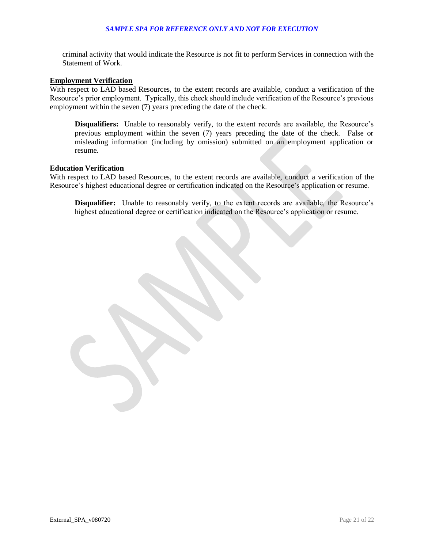criminal activity that would indicate the Resource is not fit to perform Services in connection with the Statement of Work.

## **Employment Verification**

 With respect to LAD based Resources, to the extent records are available, conduct a verification of the Resource's prior employment. Typically, this check should include verification of the Resource's previous employment within the seven (7) years preceding the date of the check.

 **Disqualifiers:** Unable to reasonably verify, to the extent records are available, the Resource's previous employment within the seven (7) years preceding the date of the check. False or misleading information (including by omission) submitted on an employment application or resume.

#### **Education Verification**

 With respect to LAD based Resources, to the extent records are available, conduct a verification of the Resource's highest educational degree or certification indicated on the Resource's application or resume.

 **Disqualifier:** Unable to reasonably verify, to the extent records are available, the Resource's highest educational degree or certification indicated on the Resource's application or resume.